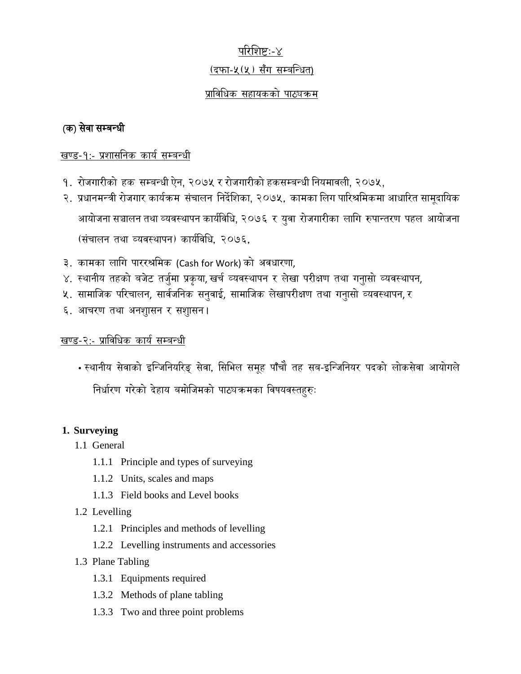# परिशिष्टः-४

## (दफा-५(५) सँग सम्बन्धित)

# प्राविधिक सहायकको पाठ्यक्रम

# (क) सेवा सम्बन्धी

## खण्ड-१:- प्रशासनिक कार्य सम्बन्धी

- १. रोजगारीको हक सम्बन्धी ऐन, २०७५ र रोजगारीको हकसम्बन्धी नियमावली, २०७५,
- २. प्रधानमन्त्री रोजगार कार्यक्रम संचालन निर्देशिका, २०७५, कामका लिग पारिश्रमिकमा आधारित सामूदायिक आयोजना सञ्चालन तथा व्यवस्थापन कार्यविधि, २०७६ र युवा रोजगारीका लागि रुपान्तरण पहल आयोजना (संचालन तथा व्यवस्थापन) कार्यविधि, २०७६,
- ३. कामका लागि पाररश्रमिक (Cash for Work) को अवधारणा,
- ४. स्थानीय तहको बजेट तर्जुमा प्रकृया, खर्च व्यवस्थापन र लेखा परीक्षण तथा गनुासो व्यवस्थापन,
- ५. सामाजिक परिचालन, सार्वजनिक सनुवाई, सामाजिक लेखापरीक्षण तथा गनुासो व्यवस्थापन,*र*
- ६. आचरण तथा अनशुासन र सशुासन।

## खण्ड-२:- प्राविधिक कार्य सम्बन्धी

• स्थानीय सेवाको इन्जिनियरिङ् सेवा, सिभिल समूह पाँचौ तह सब-इन्जिनियर पदको लोकसेवा आयोगले निर्धारण गरेको देहाय बमोजिमको पाठ्यक्रमका विषयवस्तहरुः

## **1. Surveying**

- 1.1 General
	- 1.1.1 Principle and types of surveying
	- 1.1.2 Units, scales and maps
	- 1.1.3 Field books and Level books

# 1.2 Levelling

- 1.2.1 Principles and methods of levelling
- 1.2.2 Levelling instruments and accessories
- 1.3 Plane Tabling
	- 1.3.1 Equipments required
	- 1.3.2 Methods of plane tabling
	- 1.3.3 Two and three point problems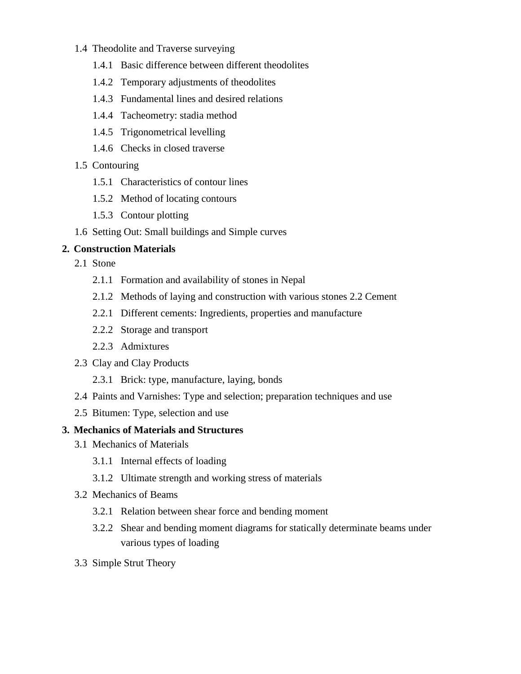### 1.4 Theodolite and Traverse surveying

- 1.4.1 Basic difference between different theodolites
- 1.4.2 Temporary adjustments of theodolites
- 1.4.3 Fundamental lines and desired relations
- 1.4.4 Tacheometry: stadia method
- 1.4.5 Trigonometrical levelling
- 1.4.6 Checks in closed traverse

## 1.5 Contouring

- 1.5.1 Characteristics of contour lines
- 1.5.2 Method of locating contours
- 1.5.3 Contour plotting
- 1.6 Setting Out: Small buildings and Simple curves

## **2. Construction Materials**

- 2.1 Stone
	- 2.1.1 Formation and availability of stones in Nepal
	- 2.1.2 Methods of laying and construction with various stones 2.2 Cement
	- 2.2.1 Different cements: Ingredients, properties and manufacture
	- 2.2.2 Storage and transport
	- 2.2.3 Admixtures
- 2.3 Clay and Clay Products
	- 2.3.1 Brick: type, manufacture, laying, bonds
- 2.4 Paints and Varnishes: Type and selection; preparation techniques and use
- 2.5 Bitumen: Type, selection and use

## **3. Mechanics of Materials and Structures**

- 3.1 Mechanics of Materials
	- 3.1.1 Internal effects of loading
	- 3.1.2 Ultimate strength and working stress of materials
- 3.2 Mechanics of Beams
	- 3.2.1 Relation between shear force and bending moment
	- 3.2.2 Shear and bending moment diagrams for statically determinate beams under various types of loading
- 3.3 Simple Strut Theory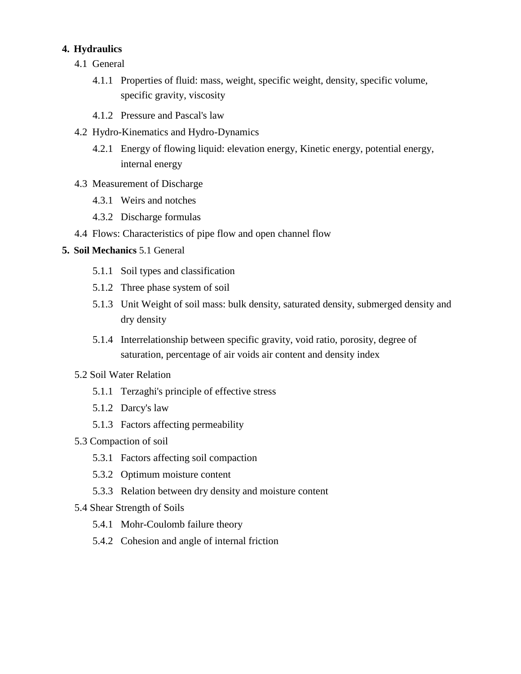## **4. Hydraulics**

- 4.1 General
	- 4.1.1 Properties of fluid: mass, weight, specific weight, density, specific volume, specific gravity, viscosity
	- 4.1.2 Pressure and Pascal's law
- 4.2 Hydro-Kinematics and Hydro-Dynamics
	- 4.2.1 Energy of flowing liquid: elevation energy, Kinetic energy, potential energy, internal energy
- 4.3 Measurement of Discharge
	- 4.3.1 Weirs and notches
	- 4.3.2 Discharge formulas
- 4.4 Flows: Characteristics of pipe flow and open channel flow

## **5. Soil Mechanics** 5.1 General

- 5.1.1 Soil types and classification
- 5.1.2 Three phase system of soil
- 5.1.3 Unit Weight of soil mass: bulk density, saturated density, submerged density and dry density
- 5.1.4 Interrelationship between specific gravity, void ratio, porosity, degree of saturation, percentage of air voids air content and density index
- 5.2 Soil Water Relation
	- 5.1.1 Terzaghi's principle of effective stress
	- 5.1.2 Darcy's law
	- 5.1.3 Factors affecting permeability
- 5.3 Compaction of soil
	- 5.3.1 Factors affecting soil compaction
	- 5.3.2 Optimum moisture content
	- 5.3.3 Relation between dry density and moisture content
- 5.4 Shear Strength of Soils
	- 5.4.1 Mohr-Coulomb failure theory
	- 5.4.2 Cohesion and angle of internal friction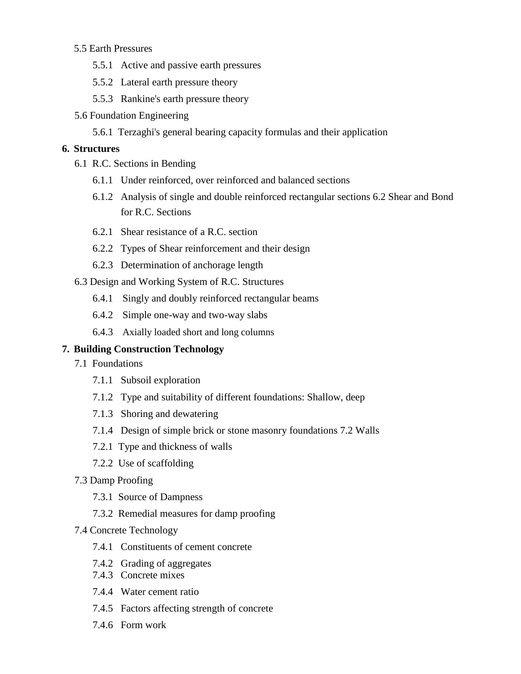### 5.5 Earth Pressures

- 5.5.1 Active and passive earth pressures
- 5.5.2 Lateral earth pressure theory
- 5.5.3 Rankine's earth pressure theory
- 5.6 Foundation Engineering
	- 5.6.1 Terzaghi's general bearing capacity formulas and their application

#### **6. Structures**

- 6.1 R.C. Sections in Bending
	- 6.1.1 Under reinforced, over reinforced and balanced sections
	- 6.1.2 Analysis of single and double reinforced rectangular sections 6.2 Shear and Bond for R.C. Sections
	- 6.2.1 Shear resistance of a R.C. section
	- 6.2.2 Types of Shear reinforcement and their design
	- 6.2.3 Determination of anchorage length
- 6.3 Design and Working System of R.C. Structures
	- 6.4.1 Singly and doubly reinforced rectangular beams
	- 6.4.2 Simple one-way and two-way slabs
	- 6.4.3 Axially loaded short and long columns

#### **7. Building Construction Technology**

- 7.1 Foundations
	- 7.1.1 Subsoil exploration
	- 7.1.2 Type and suitability of different foundations: Shallow, deep
	- 7.1.3 Shoring and dewatering
	- 7.1.4 Design of simple brick or stone masonry foundations 7.2 Walls
	- 7.2.1 Type and thickness of walls
	- 7.2.2 Use of scaffolding
- 7.3 Damp Proofing
	- 7.3.1 Source of Dampness
	- 7.3.2 Remedial measures for damp proofing

#### 7.4 Concrete Technology

- 7.4.1 Constituents of cement concrete
- 7.4.2 Grading of aggregates
- 7.4.3 Concrete mixes
- 7.4.4 Water cement ratio
- 7.4.5 Factors affecting strength of concrete
- 7.4.6 Form work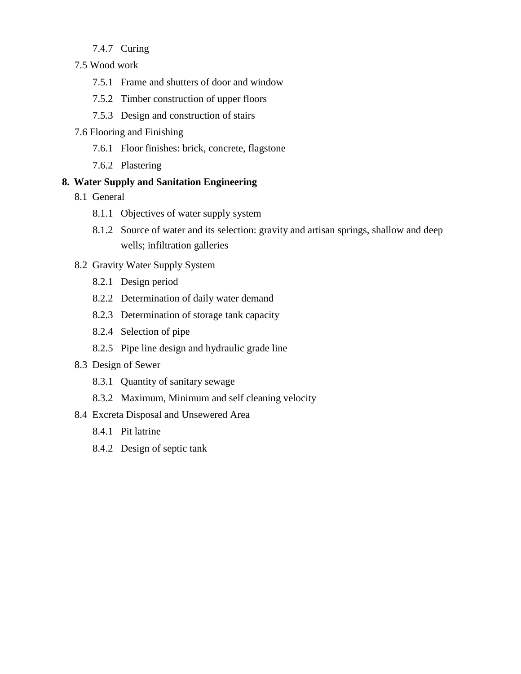## 7.4.7 Curing

- 7.5 Wood work
	- 7.5.1 Frame and shutters of door and window
	- 7.5.2 Timber construction of upper floors
	- 7.5.3 Design and construction of stairs
- 7.6 Flooring and Finishing
	- 7.6.1 Floor finishes: brick, concrete, flagstone
	- 7.6.2 Plastering

### **8. Water Supply and Sanitation Engineering**

- 8.1 General
	- 8.1.1 Objectives of water supply system
	- 8.1.2 Source of water and its selection: gravity and artisan springs, shallow and deep wells; infiltration galleries
- 8.2 Gravity Water Supply System
	- 8.2.1 Design period
	- 8.2.2 Determination of daily water demand
	- 8.2.3 Determination of storage tank capacity
	- 8.2.4 Selection of pipe
	- 8.2.5 Pipe line design and hydraulic grade line

### 8.3 Design of Sewer

- 8.3.1 Quantity of sanitary sewage
- 8.3.2 Maximum, Minimum and self cleaning velocity
- 8.4 Excreta Disposal and Unsewered Area
	- 8.4.1 Pit latrine
	- 8.4.2 Design of septic tank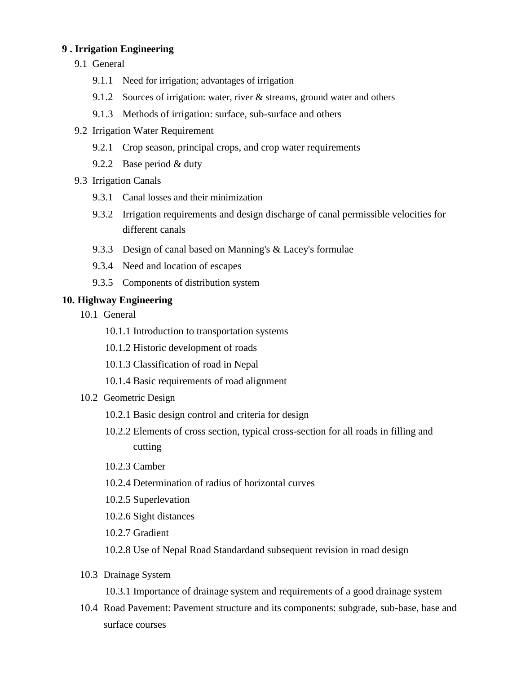### **9 . Irrigation Engineering**

- 9.1 General
	- 9.1.1 Need for irrigation; advantages of irrigation
	- 9.1.2 Sources of irrigation: water, river & streams, ground water and others
	- 9.1.3 Methods of irrigation: surface, sub-surface and others
- 9.2 Irrigation Water Requirement
	- 9.2.1 Crop season, principal crops, and crop water requirements
	- 9.2.2 Base period & duty
- 9.3 Irrigation Canals
	- 9.3.1 Canal losses and their minimization
	- 9.3.2 Irrigation requirements and design discharge of canal permissible velocities for different canals
	- 9.3.3 Design of canal based on Manning's & Lacey's formulae
	- 9.3.4 Need and location of escapes
	- 9.3.5 Components of distribution system

### **10. Highway Engineering**

- 10.1 General
	- 10.1.1 Introduction to transportation systems
	- 10.1.2 Historic development of roads
	- 10.1.3 Classification of road in Nepal
	- 10.1.4 Basic requirements of road alignment
- 10.2 Geometric Design
	- 10.2.1 Basic design control and criteria for design
	- 10.2.2 Elements of cross section, typical cross-section for all roads in filling and cutting
	- 10.2.3 Camber
	- 10.2.4 Determination of radius of horizontal curves
	- 10.2.5 Superlevation
	- 10.2.6 Sight distances
	- 10.2.7 Gradient
	- 10.2.8 Use of Nepal Road Standardand subsequent revision in road design
- 10.3 Drainage System

10.3.1 Importance of drainage system and requirements of a good drainage system

10.4 Road Pavement: Pavement structure and its components: subgrade, sub-base, base and surface courses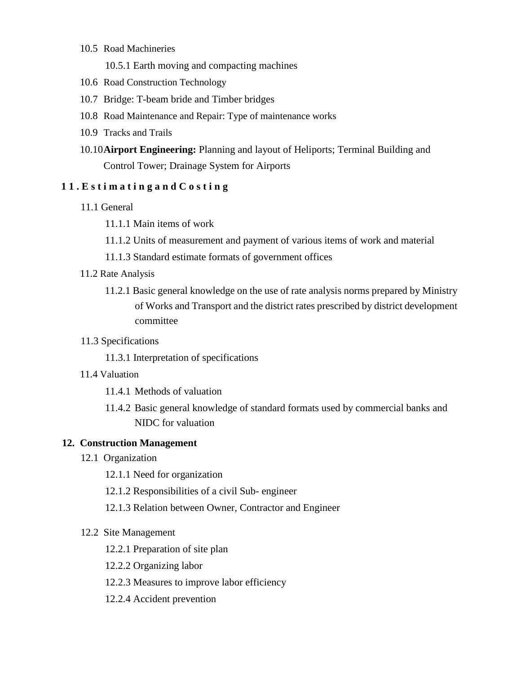- 10.5 Road Machineries
	- 10.5.1 Earth moving and compacting machines
- 10.6 Road Construction Technology
- 10.7 Bridge: T-beam bride and Timber bridges
- 10.8 Road Maintenance and Repair: Type of maintenance works
- 10.9 Tracks and Trails
- 10.10**Airport Engineering:** Planning and layout of Heliports; Terminal Building and Control Tower; Drainage System for Airports

## **1 1 . E s t i m a t i n g a n d C o s t i n g**

- 11.1 General
	- 11.1.1 Main items of work
	- 11.1.2 Units of measurement and payment of various items of work and material
	- 11.1.3 Standard estimate formats of government offices
- 11.2 Rate Analysis
	- 11.2.1 Basic general knowledge on the use of rate analysis norms prepared by Ministry of Works and Transport and the district rates prescribed by district development committee

#### 11.3 Specifications

- 11.3.1 Interpretation of specifications
- 11.4 Valuation
	- 11.4.1 Methods of valuation
	- 11.4.2 Basic general knowledge of standard formats used by commercial banks and NIDC for valuation

#### **12. Construction Management**

- 12.1 Organization
	- 12.1.1 Need for organization
	- 12.1.2 Responsibilities of a civil Sub- engineer
	- 12.1.3 Relation between Owner, Contractor and Engineer

#### 12.2 Site Management

- 12.2.1 Preparation of site plan
- 12.2.2 Organizing labor
- 12.2.3 Measures to improve labor efficiency
- 12.2.4 Accident prevention